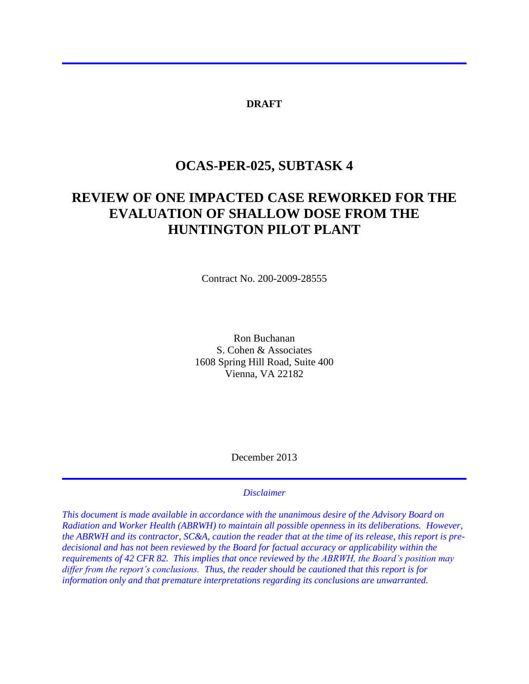#### **DRAFT**

## **OCAS-PER-025, SUBTASK 4**

# **REVIEW OF ONE IMPACTED CASE REWORKED FOR THE EVALUATION OF SHALLOW DOSE FROM THE HUNTINGTON PILOT PLANT**

Contract No. 200-2009-28555

Ron Buchanan S. Cohen & Associates 1608 Spring Hill Road, Suite 400 Vienna, VA 22182

December 2013

#### *Disclaimer*

*This document is made available in accordance with the unanimous desire of the Advisory Board on Radiation and Worker Health (ABRWH) to maintain all possible openness in its deliberations. However, the ABRWH and its contractor, SC&A, caution the reader that at the time of its release, this report is predecisional and has not been reviewed by the Board for factual accuracy or applicability within the requirements of 42 CFR 82. This implies that once reviewed by the ABRWH, the Board's position may differ from the report's conclusions. Thus, the reader should be cautioned that this report is for information only and that premature interpretations regarding its conclusions are unwarranted.*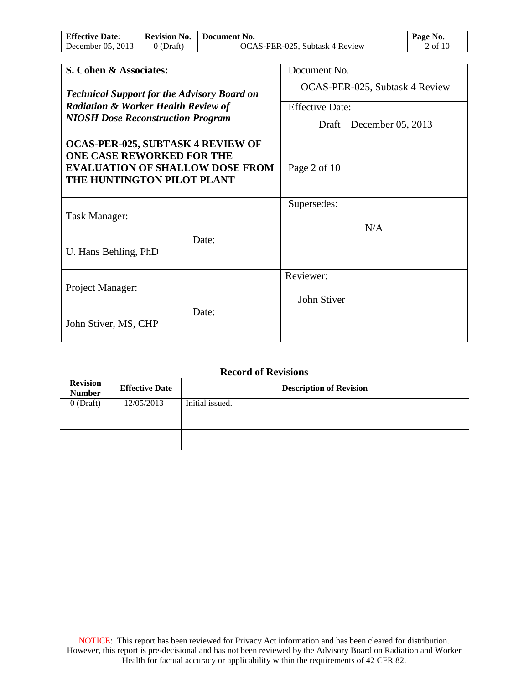| <b>Effective Date:</b> | <b>Revision No.</b> | Document No.                   | Page No. |
|------------------------|---------------------|--------------------------------|----------|
| December $05, 2013$    | 0 (Draft)           | OCAS-PER-025, Subtask 4 Review | 2 of 10  |

| S. Cohen & Associates:                             | Document No.                   |
|----------------------------------------------------|--------------------------------|
|                                                    |                                |
| <b>Technical Support for the Advisory Board on</b> | OCAS-PER-025, Subtask 4 Review |
| <b>Radiation &amp; Worker Health Review of</b>     | <b>Effective Date:</b>         |
| <b>NIOSH Dose Reconstruction Program</b>           | Draft – December 05, 2013      |
|                                                    |                                |
| <b>OCAS-PER-025, SUBTASK 4 REVIEW OF</b>           |                                |
| <b>ONE CASE REWORKED FOR THE</b>                   |                                |
| <b>EVALUATION OF SHALLOW DOSE FROM</b>             | Page 2 of 10                   |
| THE HUNTINGTON PILOT PLANT                         |                                |
|                                                    |                                |
|                                                    | Supersedes:                    |
| Task Manager:                                      |                                |
|                                                    | N/A                            |
| Date:                                              |                                |
| U. Hans Behling, PhD                               |                                |
|                                                    |                                |
|                                                    | Reviewer:                      |
| Project Manager:                                   |                                |
|                                                    | John Stiver                    |
| Date:                                              |                                |
| John Stiver, MS, CHP                               |                                |
|                                                    |                                |

### **Record of Revisions**

| <b>Revision</b><br><b>Number</b> | <b>Effective Date</b> | <b>Description of Revision</b> |
|----------------------------------|-----------------------|--------------------------------|
| $0$ (Draft)                      | 12/05/2013            | Initial issued.                |
|                                  |                       |                                |
|                                  |                       |                                |
|                                  |                       |                                |
|                                  |                       |                                |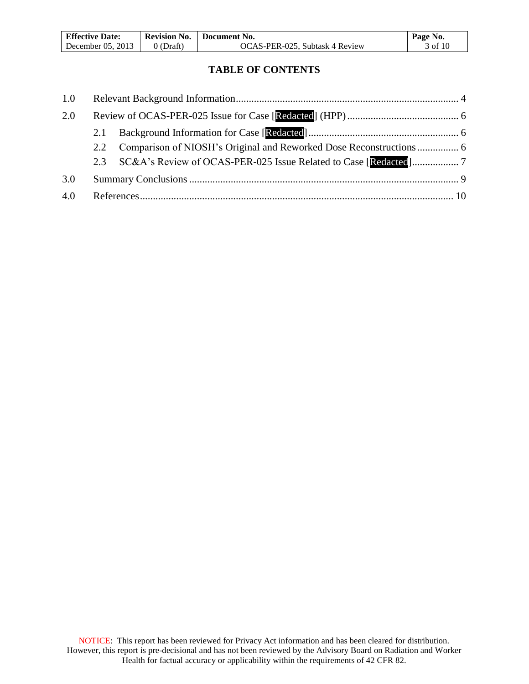| <b>Effective Date:</b> | <b>Revision No.</b> | Document No.                   | Page No. |
|------------------------|---------------------|--------------------------------|----------|
| December $05, 2013$    | $0$ (Draft)         | OCAS-PER-025, Subtask 4 Review | 3 of 10  |

### **TABLE OF CONTENTS**

| 1.0 |     |  |
|-----|-----|--|
| 2.0 |     |  |
|     | 2.1 |  |
|     |     |  |
|     |     |  |
| 3.0 |     |  |
| 4.0 |     |  |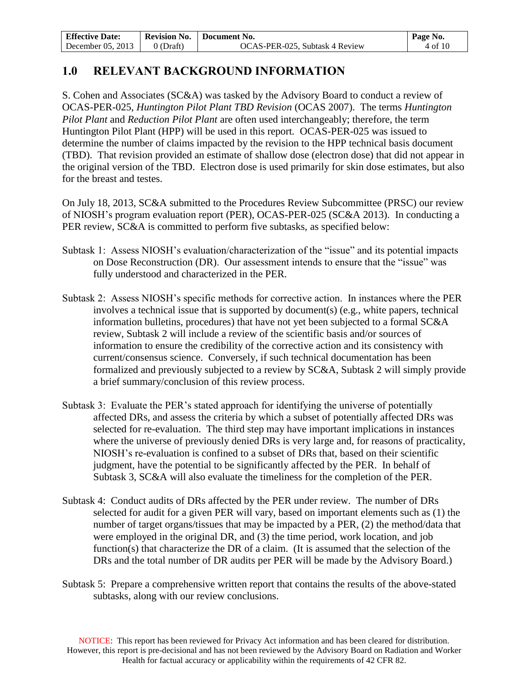| <b>Effective Date:</b> | <b>Revision No.</b> | Document No.                   | Page No. |
|------------------------|---------------------|--------------------------------|----------|
| December $05, 2013$    | 0 (Draft)           | OCAS-PER-025, Subtask 4 Review | 4 of 10  |

## **1.0 RELEVANT BACKGROUND INFORMATION**

S. Cohen and Associates (SC&A) was tasked by the Advisory Board to conduct a review of OCAS-PER-025, *Huntington Pilot Plant TBD Revision* (OCAS 2007). The terms *Huntington Pilot Plant* and *Reduction Pilot Plant* are often used interchangeably; therefore, the term Huntington Pilot Plant (HPP) will be used in this report*.* OCAS-PER-025 was issued to determine the number of claims impacted by the revision to the HPP technical basis document (TBD). That revision provided an estimate of shallow dose (electron dose) that did not appear in the original version of the TBD. Electron dose is used primarily for skin dose estimates, but also for the breast and testes.

On July 18, 2013, SC&A submitted to the Procedures Review Subcommittee (PRSC) our review of NIOSH's program evaluation report (PER), OCAS-PER-025 (SC&A 2013). In conducting a PER review, SC&A is committed to perform five subtasks, as specified below:

- Subtask 1: Assess NIOSH's evaluation/characterization of the "issue" and its potential impacts on Dose Reconstruction (DR). Our assessment intends to ensure that the "issue" was fully understood and characterized in the PER.
- Subtask 2: Assess NIOSH's specific methods for corrective action. In instances where the PER involves a technical issue that is supported by document(s) (e.g., white papers, technical information bulletins, procedures) that have not yet been subjected to a formal SC&A review, Subtask 2 will include a review of the scientific basis and/or sources of information to ensure the credibility of the corrective action and its consistency with current/consensus science. Conversely, if such technical documentation has been formalized and previously subjected to a review by SC&A, Subtask 2 will simply provide a brief summary/conclusion of this review process.
- Subtask 3: Evaluate the PER's stated approach for identifying the universe of potentially affected DRs, and assess the criteria by which a subset of potentially affected DRs was selected for re-evaluation. The third step may have important implications in instances where the universe of previously denied DRs is very large and, for reasons of practicality, NIOSH's re-evaluation is confined to a subset of DRs that, based on their scientific judgment, have the potential to be significantly affected by the PER. In behalf of Subtask 3, SC&A will also evaluate the timeliness for the completion of the PER.
- Subtask 4: Conduct audits of DRs affected by the PER under review. The number of DRs selected for audit for a given PER will vary, based on important elements such as (1) the number of target organs/tissues that may be impacted by a PER, (2) the method/data that were employed in the original DR, and (3) the time period, work location, and job function(s) that characterize the DR of a claim. (It is assumed that the selection of the DRs and the total number of DR audits per PER will be made by the Advisory Board.)
- Subtask 5: Prepare a comprehensive written report that contains the results of the above-stated subtasks, along with our review conclusions.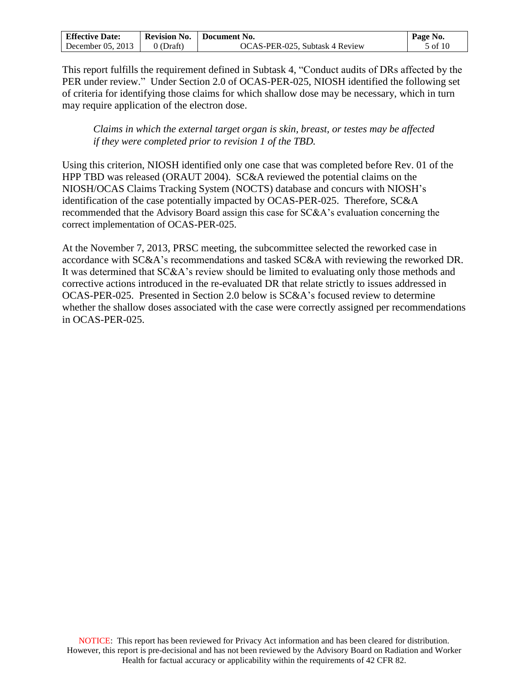| <b>Effective Date:</b> | <b>Revision No.</b> | Document No.                   | Page No. |
|------------------------|---------------------|--------------------------------|----------|
| December $05, 2013$    | 0 (Draft)           | OCAS-PER-025, Subtask 4 Review | 5 of 10  |

This report fulfills the requirement defined in Subtask 4, "Conduct audits of DRs affected by the PER under review." Under Section 2.0 of OCAS-PER-025, NIOSH identified the following set of criteria for identifying those claims for which shallow dose may be necessary, which in turn may require application of the electron dose.

*Claims in which the external target organ is skin, breast, or testes may be affected if they were completed prior to revision 1 of the TBD.* 

Using this criterion, NIOSH identified only one case that was completed before Rev. 01 of the HPP TBD was released (ORAUT 2004). SC&A reviewed the potential claims on the NIOSH/OCAS Claims Tracking System (NOCTS) database and concurs with NIOSH's identification of the case potentially impacted by OCAS-PER-025. Therefore, SC&A recommended that the Advisory Board assign this case for SC&A's evaluation concerning the correct implementation of OCAS-PER-025.

At the November 7, 2013, PRSC meeting, the subcommittee selected the reworked case in accordance with SC&A's recommendations and tasked SC&A with reviewing the reworked DR. It was determined that SC&A's review should be limited to evaluating only those methods and corrective actions introduced in the re-evaluated DR that relate strictly to issues addressed in OCAS-PER-025. Presented in Section 2.0 below is SC&A's focused review to determine whether the shallow doses associated with the case were correctly assigned per recommendations in OCAS-PER-025.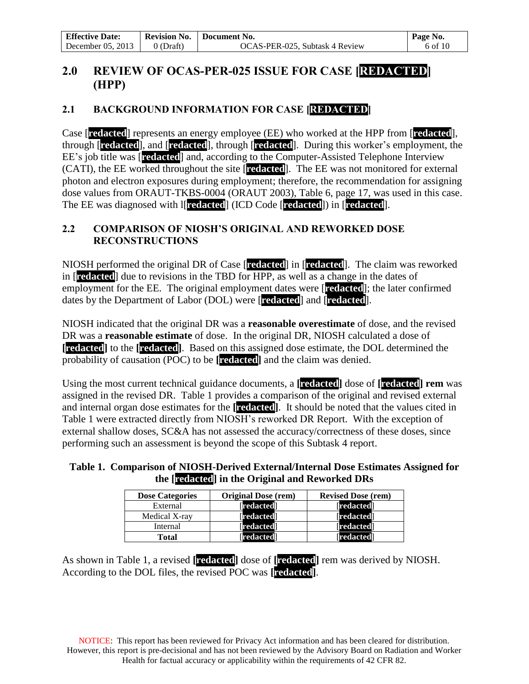## **2.0 REVIEW OF OCAS-PER-025 ISSUE FOR CASE [REDACTED] (HPP)**

## **2.1 BACKGROUND INFORMATION FOR CASE [REDACTED]**

Case [**redacted**] represents an energy employee (EE) who worked at the HPP from [**redacted**], through [**redacted**], and [**redacted**], through [**redacted**]. During this worker's employment, the EE's job title was [**redacted**] and, according to the Computer-Assisted Telephone Interview (CATI), the EE worked throughout the site [**redacted**]. The EE was not monitored for external photon and electron exposures during employment; therefore, the recommendation for assigning dose values from ORAUT-TKBS-0004 (ORAUT 2003), Table 6, page 17, was used in this case. The EE was diagnosed with l[**redacted**] (ICD Code [**redacted**]) in [**redacted**].

### **2.2 COMPARISON OF NIOSH'S ORIGINAL AND REWORKED DOSE RECONSTRUCTIONS**

NIOSH performed the original DR of Case [**redacted**] in [**redacted**]. The claim was reworked in [**redacted**] due to revisions in the TBD for HPP, as well as a change in the dates of employment for the EE. The original employment dates were [**redacted**]; the later confirmed dates by the Department of Labor (DOL) were [**redacted**] and [**redacted**].

NIOSH indicated that the original DR was a **reasonable overestimate** of dose, and the revised DR was a **reasonable estimate** of dose. In the original DR, NIOSH calculated a dose of **[redacted]** to the **[redacted]**. Based on this assigned dose estimate, the DOL determined the probability of causation (POC) to be **[redacted]** and the claim was denied.

Using the most current technical guidance documents, a **[redacted]** dose of **[redacted] rem** was assigned in the revised DR. Table 1 provides a comparison of the original and revised external and internal organ dose estimates for the **[redacted]**. It should be noted that the values cited in Table 1 were extracted directly from NIOSH's reworked DR Report. With the exception of external shallow doses, SC&A has not assessed the accuracy/correctness of these doses, since performing such an assessment is beyond the scope of this Subtask 4 report.

### **Table 1. Comparison of NIOSH-Derived External/Internal Dose Estimates Assigned for the [redacted] in the Original and Reworked DRs**

| <b>Dose Categories</b> | <b>Original Dose (rem)</b> | <b>Revised Dose (rem)</b> |
|------------------------|----------------------------|---------------------------|
| External               | [redacted]                 | [redacted]                |
| Medical X-ray          | [redacted]                 | [redacted]                |
| Internal               | <b>IredactedI</b>          | <b>Tredacted</b>          |
| <b>Total</b>           | <b>redacted</b>            | [redacted]                |

As shown in Table 1, a revised **[redacted]** dose of **[redacted]** rem was derived by NIOSH. According to the DOL files, the revised POC was **[redacted]**.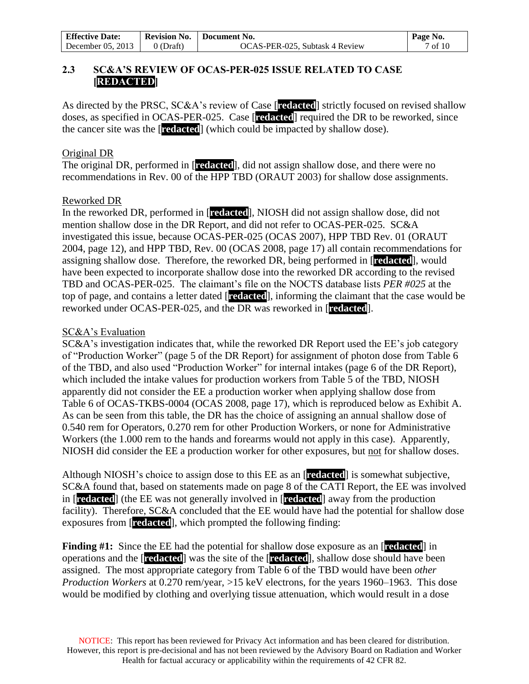| <b>Effective Date:</b> | <b>Revision No.</b> | Document No.                   | Page No.           |
|------------------------|---------------------|--------------------------------|--------------------|
| December $05, 2013$    | 0 (Draft)           | OCAS-PER-025, Subtask 4 Review | $7 \text{ of } 10$ |

### **2.3 SC&A'S REVIEW OF OCAS-PER-025 ISSUE RELATED TO CASE [REDACTED]**

As directed by the PRSC, SC&A's review of Case [**redacted**] strictly focused on revised shallow doses, as specified in OCAS-PER-025. Case [**redacted**] required the DR to be reworked, since the cancer site was the [**redacted**] (which could be impacted by shallow dose).

#### Original DR

The original DR, performed in [**redacted**], did not assign shallow dose, and there were no recommendations in Rev. 00 of the HPP TBD (ORAUT 2003) for shallow dose assignments.

#### Reworked DR

In the reworked DR, performed in [**redacted**], NIOSH did not assign shallow dose, did not mention shallow dose in the DR Report, and did not refer to OCAS-PER-025. SC&A investigated this issue, because OCAS-PER-025 (OCAS 2007), HPP TBD Rev. 01 (ORAUT 2004, page 12), and HPP TBD, Rev. 00 (OCAS 2008, page 17) all contain recommendations for assigning shallow dose. Therefore, the reworked DR, being performed in [**redacted**], would have been expected to incorporate shallow dose into the reworked DR according to the revised TBD and OCAS-PER-025. The claimant's file on the NOCTS database lists *PER #025* at the top of page, and contains a letter dated [**redacted**], informing the claimant that the case would be reworked under OCAS-PER-025, and the DR was reworked in [**redacted**].

#### SC&A's Evaluation

SC&A's investigation indicates that, while the reworked DR Report used the EE's job category of "Production Worker" (page 5 of the DR Report) for assignment of photon dose from Table 6 of the TBD, and also used "Production Worker" for internal intakes (page 6 of the DR Report), which included the intake values for production workers from Table 5 of the TBD, NIOSH apparently did not consider the EE a production worker when applying shallow dose from Table 6 of OCAS-TKBS-0004 (OCAS 2008, page 17), which is reproduced below as Exhibit A. As can be seen from this table, the DR has the choice of assigning an annual shallow dose of 0.540 rem for Operators, 0.270 rem for other Production Workers, or none for Administrative Workers (the 1.000 rem to the hands and forearms would not apply in this case). Apparently, NIOSH did consider the EE a production worker for other exposures, but not for shallow doses.

Although NIOSH's choice to assign dose to this EE as an [**redacted**] is somewhat subjective, SC&A found that, based on statements made on page 8 of the CATI Report, the EE was involved in [**redacted**] (the EE was not generally involved in [**redacted**] away from the production facility). Therefore, SC&A concluded that the EE would have had the potential for shallow dose exposures from [**redacted**], which prompted the following finding:

**Finding #1:** Since the EE had the potential for shallow dose exposure as an [**redacted**] in operations and the [**redacted**] was the site of the [**redacted**], shallow dose should have been assigned. The most appropriate category from Table 6 of the TBD would have been *other Production Workers* at 0.270 rem/year, >15 keV electrons, for the years 1960–1963. This dose would be modified by clothing and overlying tissue attenuation, which would result in a dose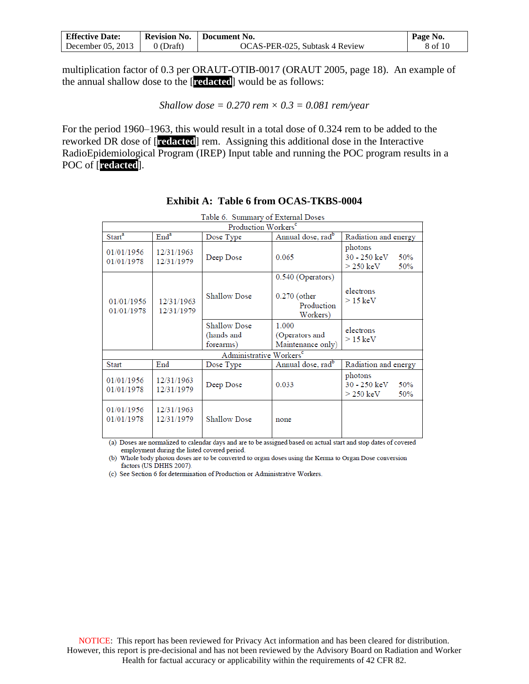| <b>Effective Date:</b> | <b>Revision No.</b> | Document No.                   | Page No. |
|------------------------|---------------------|--------------------------------|----------|
| December $05, 2013$    | 0 (Draft)           | OCAS-PER-025, Subtask 4 Review | 8 of 10  |

multiplication factor of 0.3 per ORAUT-OTIB-0017 (ORAUT 2005, page 18). An example of the annual shallow dose to the [**redacted**] would be as follows:

*Shallow dose = 0.270 rem × 0.3 = 0.081 rem/year*

For the period 1960–1963, this would result in a total dose of 0.324 rem to be added to the reworked DR dose of [**redacted**] rem. Assigning this additional dose in the Interactive RadioEpidemiological Program (IREP) Input table and running the POC program results in a POC of [**redacted**].

|                          |                          | Table 6. Summary of External Doses             |                                                               |                                                                |
|--------------------------|--------------------------|------------------------------------------------|---------------------------------------------------------------|----------------------------------------------------------------|
|                          |                          | Production Workers <sup>c</sup>                |                                                               |                                                                |
| Start <sup>a</sup>       | $\text{End}^{\text{a}}$  | Dose Type                                      | Annual dose, rad <sup>b</sup>                                 | Radiation and energy                                           |
| 01/01/1956<br>01/01/1978 | 12/31/1963<br>12/31/1979 | Deep Dose                                      | 0.065                                                         | photons<br>$30 - 250 \text{ keV}$<br>50%<br>$>$ 250 keV<br>50% |
| 01/01/1956<br>01/01/1978 | 12/31/1963<br>12/31/1979 | <b>Shallow Dose</b>                            | 0.540 (Operators)<br>$0.270$ (other<br>Production<br>Workers) | electrons<br>$>$ 15 keV                                        |
|                          |                          | <b>Shallow Dose</b><br>(hands and<br>forearms) | 1.000<br>(Operators and<br>Maintenance only)                  | electrons<br>$>$ 15 keV                                        |
|                          |                          | Administrative Workers <sup>c</sup>            |                                                               |                                                                |
| <b>Start</b>             | End                      | Dose Type                                      | Annual dose, rad <sup>b</sup>                                 | Radiation and energy                                           |
| 01/01/1956<br>01/01/1978 | 12/31/1963<br>12/31/1979 | Deep Dose                                      | 0.033                                                         | photons<br>$30 - 250 \text{ keV}$<br>50%<br>$>$ 250 keV<br>50% |
| 01/01/1956<br>01/01/1978 | 12/31/1963<br>12/31/1979 | <b>Shallow Dose</b>                            | none                                                          |                                                                |

#### **Exhibit A: Table 6 from OCAS-TKBS-0004**

(a) Doses are normalized to calendar days and are to be assigned based on actual start and stop dates of covered employment during the listed covered period.

(b) Whole body photon doses are to be converted to organ doses using the Kerma to Organ Dose conversion factors (US DHHS 2007).

(c) See Section 6 for determination of Production or Administrative Workers.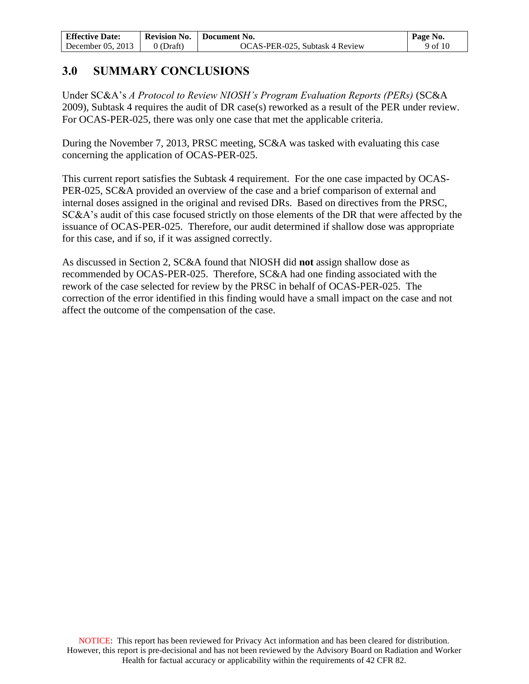| <b>Effective Date:</b> | <b>Revision No.</b> | Document No.                   | Page No. |
|------------------------|---------------------|--------------------------------|----------|
| December $05, 2013$    | 0 (Draft)           | OCAS-PER-025, Subtask 4 Review | 9 of 10  |

## **3.0 SUMMARY CONCLUSIONS**

Under SC&A's *A Protocol to Review NIOSH's Program Evaluation Reports (PERs)* (SC&A 2009), Subtask 4 requires the audit of DR case(s) reworked as a result of the PER under review. For OCAS-PER-025, there was only one case that met the applicable criteria.

During the November 7, 2013, PRSC meeting, SC&A was tasked with evaluating this case concerning the application of OCAS-PER-025.

This current report satisfies the Subtask 4 requirement. For the one case impacted by OCAS-PER-025, SC&A provided an overview of the case and a brief comparison of external and internal doses assigned in the original and revised DRs. Based on directives from the PRSC, SC&A's audit of this case focused strictly on those elements of the DR that were affected by the issuance of OCAS-PER-025. Therefore, our audit determined if shallow dose was appropriate for this case, and if so, if it was assigned correctly.

As discussed in Section 2, SC&A found that NIOSH did **not** assign shallow dose as recommended by OCAS-PER-025. Therefore, SC&A had one finding associated with the rework of the case selected for review by the PRSC in behalf of OCAS-PER-025. The correction of the error identified in this finding would have a small impact on the case and not affect the outcome of the compensation of the case.